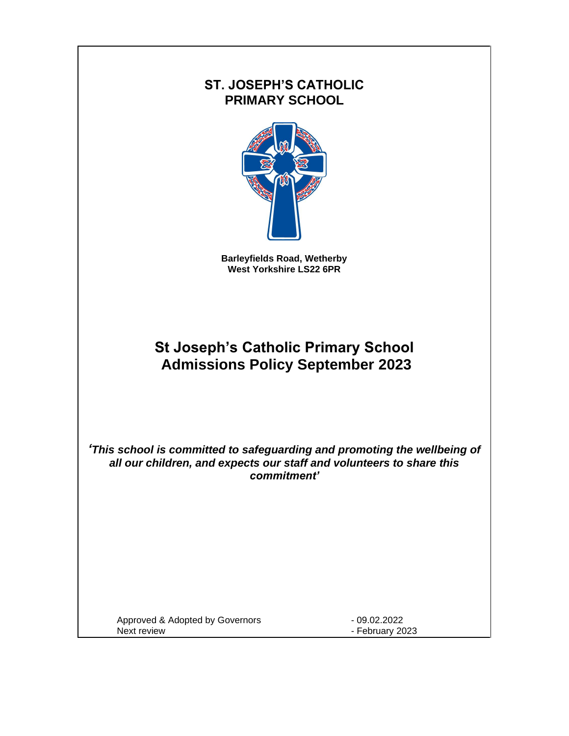# **ST. JOSEPH'S CATHOLIC PRIMARY SCHOOL**



**Barleyfields Road, Wetherby West Yorkshire LS22 6PR**

# **St Joseph's Catholic Primary School Admissions Policy September 2023**

*'This school is committed to safeguarding and promoting the wellbeing of all our children, and expects our staff and volunteers to share this commitment'*

Approved & Adopted by Governors - 09.02.2022 Next review **Next review** - February 2023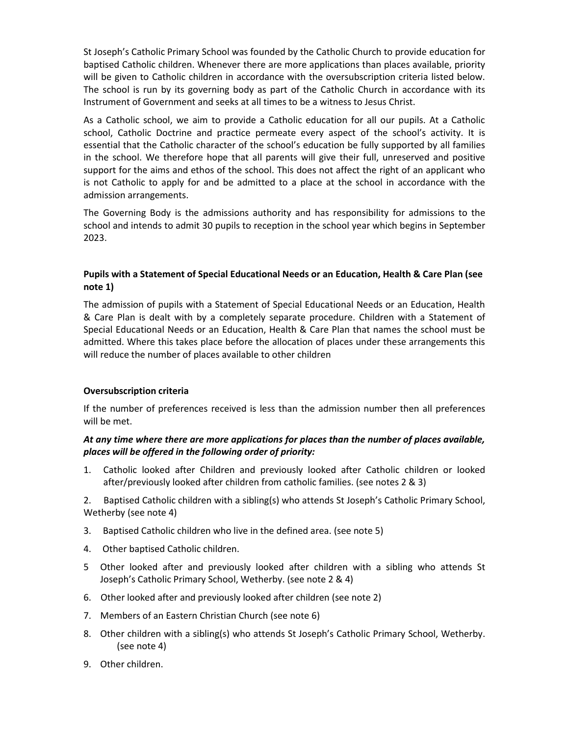St Joseph's Catholic Primary School was founded by the Catholic Church to provide education for baptised Catholic children. Whenever there are more applications than places available, priority will be given to Catholic children in accordance with the oversubscription criteria listed below. The school is run by its governing body as part of the Catholic Church in accordance with its Instrument of Government and seeks at all times to be a witness to Jesus Christ.

As a Catholic school, we aim to provide a Catholic education for all our pupils. At a Catholic school, Catholic Doctrine and practice permeate every aspect of the school's activity. It is essential that the Catholic character of the school's education be fully supported by all families in the school. We therefore hope that all parents will give their full, unreserved and positive support for the aims and ethos of the school. This does not affect the right of an applicant who is not Catholic to apply for and be admitted to a place at the school in accordance with the admission arrangements.

The Governing Body is the admissions authority and has responsibility for admissions to the school and intends to admit 30 pupils to reception in the school year which begins in September 2023.

#### **Pupils with a Statement of Special Educational Needs or an Education, Health & Care Plan (see note 1)**

The admission of pupils with a Statement of Special Educational Needs or an Education, Health & Care Plan is dealt with by a completely separate procedure. Children with a Statement of Special Educational Needs or an Education, Health & Care Plan that names the school must be admitted. Where this takes place before the allocation of places under these arrangements this will reduce the number of places available to other children

#### **Oversubscription criteria**

If the number of preferences received is less than the admission number then all preferences will be met.

#### *At any time where there are more applications for places than the number of places available, places will be offered in the following order of priority:*

1. Catholic looked after Children and previously looked after Catholic children or looked after/previously looked after children from catholic families. (see notes 2 & 3)

2. Baptised Catholic children with a sibling(s) who attends St Joseph's Catholic Primary School, Wetherby (see note 4)

- 3. Baptised Catholic children who live in the defined area. (see note 5)
- 4. Other baptised Catholic children.
- 5 Other looked after and previously looked after children with a sibling who attends St Joseph's Catholic Primary School, Wetherby. (see note 2 & 4)
- 6. Other looked after and previously looked after children (see note 2)
- 7. Members of an Eastern Christian Church (see note 6)
- 8. Other children with a sibling(s) who attends St Joseph's Catholic Primary School, Wetherby. (see note 4)
- 9. Other children.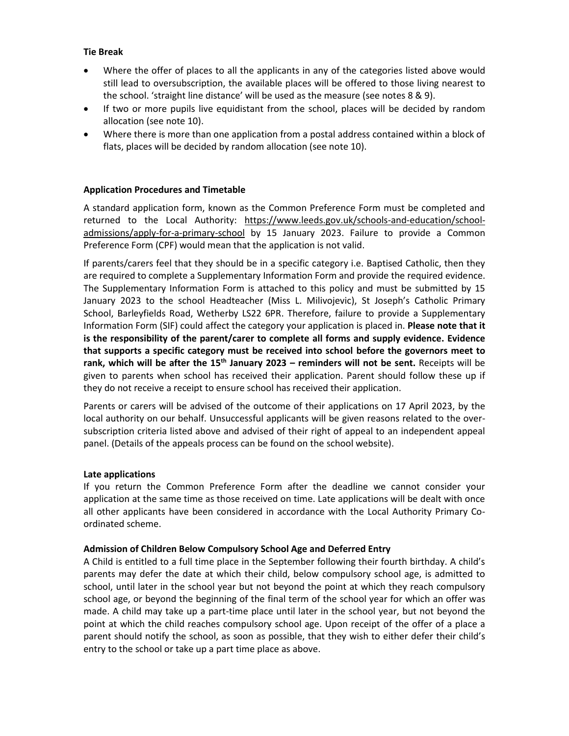#### **Tie Break**

- Where the offer of places to all the applicants in any of the categories listed above would still lead to oversubscription, the available places will be offered to those living nearest to the school. 'straight line distance' will be used as the measure (see notes 8 & 9).
- If two or more pupils live equidistant from the school, places will be decided by random allocation (see note 10).
- Where there is more than one application from a postal address contained within a block of flats, places will be decided by random allocation (see note 10).

#### **Application Procedures and Timetable**

A standard application form, known as the Common Preference Form must be completed and returned to the Local Authority: [https://www.leeds.gov.uk/schools-and-education/school](https://www.leeds.gov.uk/schools-and-education/school-admissions/apply-for-a-primary-school)[admissions/apply-for-a-primary-school](https://www.leeds.gov.uk/schools-and-education/school-admissions/apply-for-a-primary-school) by 15 January 2023. Failure to provide a Common Preference Form (CPF) would mean that the application is not valid.

If parents/carers feel that they should be in a specific category i.e. Baptised Catholic, then they are required to complete a Supplementary Information Form and provide the required evidence. The Supplementary Information Form is attached to this policy and must be submitted by 15 January 2023 to the school Headteacher (Miss L. Milivojevic), St Joseph's Catholic Primary School, Barleyfields Road, Wetherby LS22 6PR. Therefore, failure to provide a Supplementary Information Form (SIF) could affect the category your application is placed in. **Please note that it is the responsibility of the parent/carer to complete all forms and supply evidence. Evidence that supports a specific category must be received into school before the governors meet to rank, which will be after the 15th January 2023 – reminders will not be sent.** Receipts will be given to parents when school has received their application. Parent should follow these up if they do not receive a receipt to ensure school has received their application.

Parents or carers will be advised of the outcome of their applications on 17 April 2023, by the local authority on our behalf. Unsuccessful applicants will be given reasons related to the oversubscription criteria listed above and advised of their right of appeal to an independent appeal panel. (Details of the appeals process can be found on the school website).

#### **Late applications**

If you return the Common Preference Form after the deadline we cannot consider your application at the same time as those received on time. Late applications will be dealt with once all other applicants have been considered in accordance with the Local Authority Primary Coordinated scheme.

#### **Admission of Children Below Compulsory School Age and Deferred Entry**

A Child is entitled to a full time place in the September following their fourth birthday. A child's parents may defer the date at which their child, below compulsory school age, is admitted to school, until later in the school year but not beyond the point at which they reach compulsory school age, or beyond the beginning of the final term of the school year for which an offer was made. A child may take up a part-time place until later in the school year, but not beyond the point at which the child reaches compulsory school age. Upon receipt of the offer of a place a parent should notify the school, as soon as possible, that they wish to either defer their child's entry to the school or take up a part time place as above.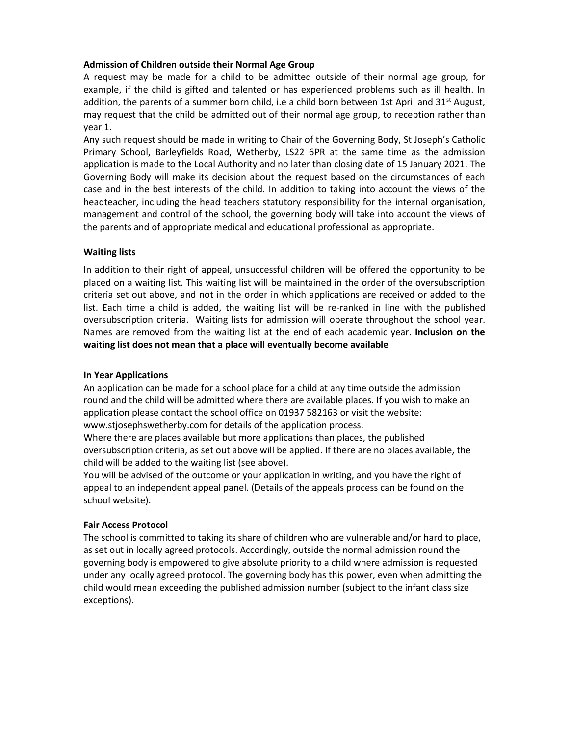#### **Admission of Children outside their Normal Age Group**

A request may be made for a child to be admitted outside of their normal age group, for example, if the child is gifted and talented or has experienced problems such as ill health. In addition, the parents of a summer born child, i.e a child born between 1st April and  $31^{st}$  August, may request that the child be admitted out of their normal age group, to reception rather than year 1.

Any such request should be made in writing to Chair of the Governing Body, St Joseph's Catholic Primary School, Barleyfields Road, Wetherby, LS22 6PR at the same time as the admission application is made to the Local Authority and no later than closing date of 15 January 2021. The Governing Body will make its decision about the request based on the circumstances of each case and in the best interests of the child. In addition to taking into account the views of the headteacher, including the head teachers statutory responsibility for the internal organisation, management and control of the school, the governing body will take into account the views of the parents and of appropriate medical and educational professional as appropriate.

#### **Waiting lists**

In addition to their right of appeal, unsuccessful children will be offered the opportunity to be placed on a waiting list. This waiting list will be maintained in the order of the oversubscription criteria set out above, and not in the order in which applications are received or added to the list. Each time a child is added, the waiting list will be re-ranked in line with the published oversubscription criteria. Waiting lists for admission will operate throughout the school year. Names are removed from the waiting list at the end of each academic year. **Inclusion on the waiting list does not mean that a place will eventually become available**

#### **In Year Applications**

An application can be made for a school place for a child at any time outside the admission round and the child will be admitted where there are available places. If you wish to make an application please contact the school office on 01937 582163 or visit the website: [www.stjosephswetherby.com](http://www.stjosephswetherby.com/) for details of the application process.

Where there are places available but more applications than places, the published oversubscription criteria, as set out above will be applied. If there are no places available, the child will be added to the waiting list (see above).

You will be advised of the outcome or your application in writing, and you have the right of appeal to an independent appeal panel. (Details of the appeals process can be found on the school website).

#### **Fair Access Protocol**

The school is committed to taking its share of children who are vulnerable and/or hard to place, as set out in locally agreed protocols. Accordingly, outside the normal admission round the governing body is empowered to give absolute priority to a child where admission is requested under any locally agreed protocol. The governing body has this power, even when admitting the child would mean exceeding the published admission number (subject to the infant class size exceptions).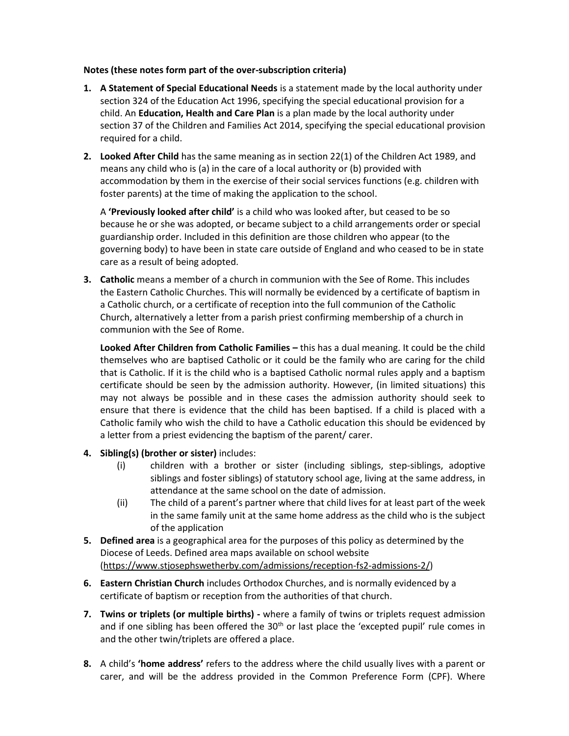#### **Notes (these notes form part of the over-subscription criteria)**

- **1. A Statement of Special Educational Needs** is a statement made by the local authority under section 324 of the Education Act 1996, specifying the special educational provision for a child. An **Education, Health and Care Plan** is a plan made by the local authority under section 37 of the Children and Families Act 2014, specifying the special educational provision required for a child.
- **2. Looked After Child** has the same meaning as in section 22(1) of the Children Act 1989, and means any child who is (a) in the care of a local authority or (b) provided with accommodation by them in the exercise of their social services functions (e.g. children with foster parents) at the time of making the application to the school.

A **'Previously looked after child'** is a child who was looked after, but ceased to be so because he or she was adopted, or became subject to a child arrangements order or special guardianship order. Included in this definition are those children who appear (to the governing body) to have been in state care outside of England and who ceased to be in state care as a result of being adopted.

**3. Catholic** means a member of a church in communion with the See of Rome. This includes the Eastern Catholic Churches. This will normally be evidenced by a certificate of baptism in a Catholic church, or a certificate of reception into the full communion of the Catholic Church, alternatively a letter from a parish priest confirming membership of a church in communion with the See of Rome.

**Looked After Children from Catholic Families – this has a dual meaning. It could be the child** themselves who are baptised Catholic or it could be the family who are caring for the child that is Catholic. If it is the child who is a baptised Catholic normal rules apply and a baptism certificate should be seen by the admission authority. However, (in limited situations) this may not always be possible and in these cases the admission authority should seek to ensure that there is evidence that the child has been baptised. If a child is placed with a Catholic family who wish the child to have a Catholic education this should be evidenced by a letter from a priest evidencing the baptism of the parent/ carer.

- **4. Sibling(s) (brother or sister)** includes:
	- (i) children with a brother or sister (including siblings, step-siblings, adoptive siblings and foster siblings) of statutory school age, living at the same address, in attendance at the same school on the date of admission.
	- (ii) The child of a parent's partner where that child lives for at least part of the week in the same family unit at the same home address as the child who is the subject of the application
- **5. Defined area** is a geographical area for the purposes of this policy as determined by the Diocese of Leeds. Defined area maps available on school website [\(https://www.stjosephswetherby.com/admissions/reception-fs2-admissions-2/\)](https://www.stjosephswetherby.com/admissions/reception-fs2-admissions-2/)
- **6. Eastern Christian Church** includes Orthodox Churches, and is normally evidenced by a certificate of baptism or reception from the authorities of that church.
- **7. Twins or triplets (or multiple births) -** where a family of twins or triplets request admission and if one sibling has been offered the 30<sup>th</sup> or last place the 'excepted pupil' rule comes in and the other twin/triplets are offered a place.
- **8.** A child's **'home address'** refers to the address where the child usually lives with a parent or carer, and will be the address provided in the Common Preference Form (CPF). Where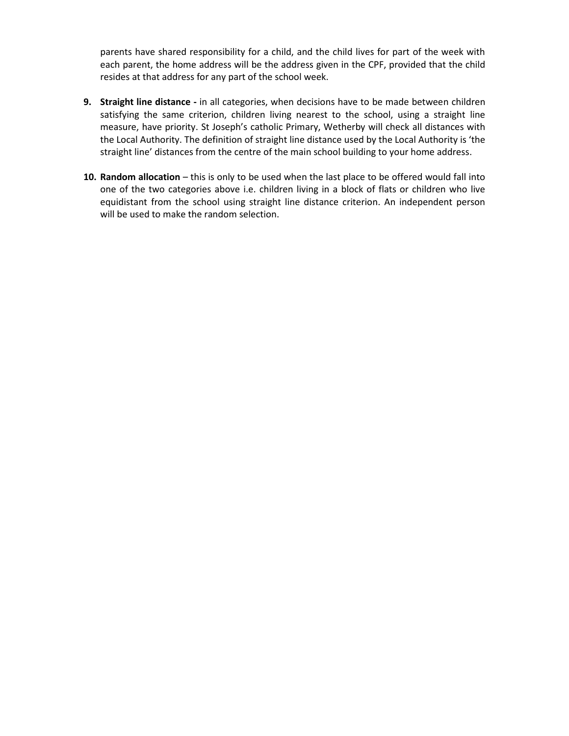parents have shared responsibility for a child, and the child lives for part of the week with each parent, the home address will be the address given in the CPF, provided that the child resides at that address for any part of the school week.

- **9. Straight line distance -** in all categories, when decisions have to be made between children satisfying the same criterion, children living nearest to the school, using a straight line measure, have priority. St Joseph's catholic Primary, Wetherby will check all distances with the Local Authority. The definition of straight line distance used by the Local Authority is 'the straight line' distances from the centre of the main school building to your home address.
- **10. Random allocation** this is only to be used when the last place to be offered would fall into one of the two categories above i.e. children living in a block of flats or children who live equidistant from the school using straight line distance criterion. An independent person will be used to make the random selection.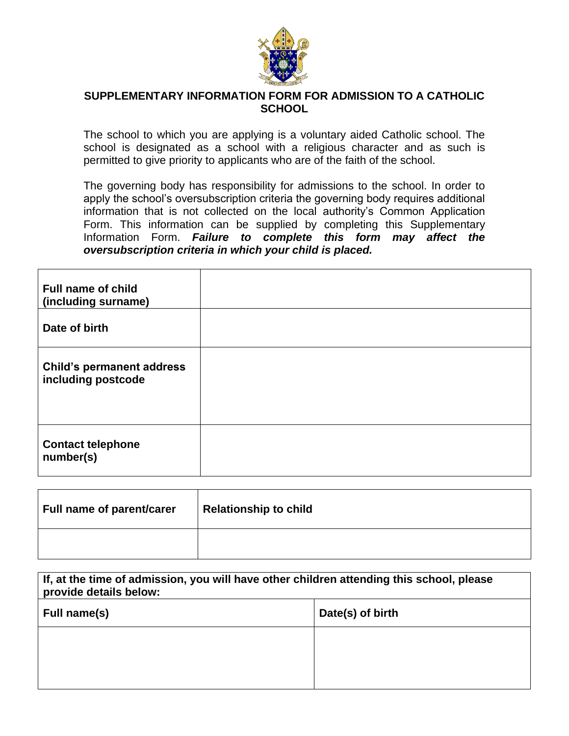

### **SUPPLEMENTARY INFORMATION FORM FOR ADMISSION TO A CATHOLIC SCHOOL**

The school to which you are applying is a voluntary aided Catholic school. The school is designated as a school with a religious character and as such is permitted to give priority to applicants who are of the faith of the school.

The governing body has responsibility for admissions to the school. In order to apply the school's oversubscription criteria the governing body requires additional information that is not collected on the local authority's Common Application Form. This information can be supplied by completing this Supplementary Information Form. *Failure to complete this form may affect the oversubscription criteria in which your child is placed.*

| <b>Full name of child</b><br>(including surname)       |  |
|--------------------------------------------------------|--|
| Date of birth                                          |  |
| <b>Child's permanent address</b><br>including postcode |  |
| <b>Contact telephone</b><br>number(s)                  |  |

| Full name of parent/carer | Relationship to child |
|---------------------------|-----------------------|
|                           |                       |

| If, at the time of admission, you will have other children attending this school, please<br>provide details below: |  |  |  |  |
|--------------------------------------------------------------------------------------------------------------------|--|--|--|--|
| Date(s) of birth<br>Full name(s)                                                                                   |  |  |  |  |
|                                                                                                                    |  |  |  |  |
|                                                                                                                    |  |  |  |  |
|                                                                                                                    |  |  |  |  |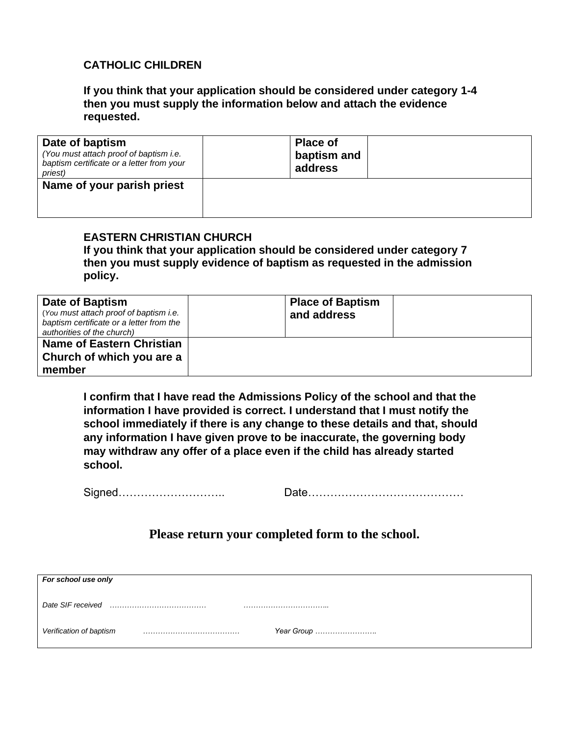## **CATHOLIC CHILDREN**

**If you think that your application should be considered under category 1-4 then you must supply the information below and attach the evidence requested.**

| Date of baptism<br>(You must attach proof of baptism i.e.<br>baptism certificate or a letter from your<br>priest) | <b>Place of</b><br>baptism and<br>address |  |
|-------------------------------------------------------------------------------------------------------------------|-------------------------------------------|--|
| Name of your parish priest                                                                                        |                                           |  |

## **EASTERN CHRISTIAN CHURCH**

**If you think that your application should be considered under category 7 then you must supply evidence of baptism as requested in the admission policy.**

| <b>Date of Baptism</b><br>(You must attach proof of baptism i.e.<br>baptism certificate or a letter from the<br>authorities of the church) | <b>Place of Baptism</b><br>and address |  |
|--------------------------------------------------------------------------------------------------------------------------------------------|----------------------------------------|--|
| <b>Name of Eastern Christian</b><br>Church of which you are a<br>member                                                                    |                                        |  |

**I confirm that I have read the Admissions Policy of the school and that the information I have provided is correct. I understand that I must notify the school immediately if there is any change to these details and that, should any information I have given prove to be inaccurate, the governing body may withdraw any offer of a place even if the child has already started school.**

Signed……………………….. Date……………………………………

## **Please return your completed form to the school.**

| For school use only                   |  |
|---------------------------------------|--|
| Date SIF received                     |  |
| Verification of baptism<br>Year Group |  |